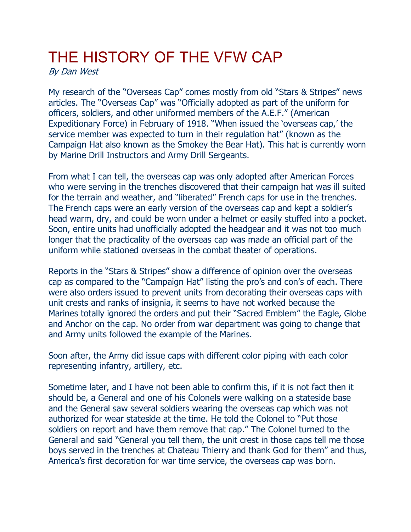## THE HISTORY OF THE VFW CAP

By Dan West

My research of the "Overseas Cap" comes mostly from old "Stars & Stripes" news articles. The "Overseas Cap" was "Officially adopted as part of the uniform for officers, soldiers, and other uniformed members of the A.E.F." (American Expeditionary Force) in February of 1918. "When issued the 'overseas cap,' the service member was expected to turn in their regulation hat" (known as the Campaign Hat also known as the Smokey the Bear Hat). This hat is currently worn by Marine Drill Instructors and Army Drill Sergeants.

From what I can tell, the overseas cap was only adopted after American Forces who were serving in the trenches discovered that their campaign hat was ill suited for the terrain and weather, and "liberated" French caps for use in the trenches. The French caps were an early version of the overseas cap and kept a soldier's head warm, dry, and could be worn under a helmet or easily stuffed into a pocket. Soon, entire units had unofficially adopted the headgear and it was not too much longer that the practicality of the overseas cap was made an official part of the uniform while stationed overseas in the combat theater of operations.

Reports in the "Stars & Stripes" show a difference of opinion over the overseas cap as compared to the "Campaign Hat" listing the pro's and con's of each. There were also orders issued to prevent units from decorating their overseas caps with unit crests and ranks of insignia, it seems to have not worked because the Marines totally ignored the orders and put their "Sacred Emblem" the Eagle, Globe and Anchor on the cap. No order from war department was going to change that and Army units followed the example of the Marines.

Soon after, the Army did issue caps with different color piping with each color representing infantry, artillery, etc.

Sometime later, and I have not been able to confirm this, if it is not fact then it should be, a General and one of his Colonels were walking on a stateside base and the General saw several soldiers wearing the overseas cap which was not authorized for wear stateside at the time. He told the Colonel to "Put those soldiers on report and have them remove that cap." The Colonel turned to the General and said "General you tell them, the unit crest in those caps tell me those boys served in the trenches at Chateau Thierry and thank God for them" and thus, America's first decoration for war time service, the overseas cap was born.